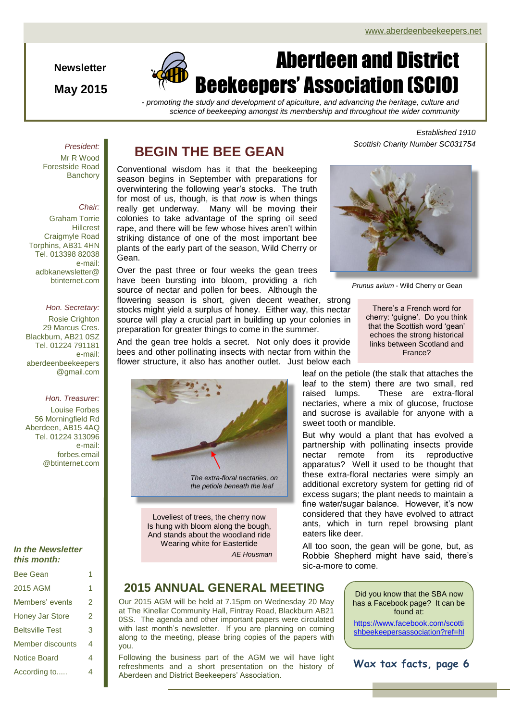**Newsletter**

**May 2015**



*- promoting the study and development of apiculture, and advancing the heritage, culture and science of beekeeping amongst its membership and throughout the wider community*

### *President:*

Mr R Wood Forestside Road **Banchory** 

### *Chair:*

Graham Torrie **Hillcrest** Craigmyle Road Torphins, AB31 4HN Tel. 013398 82038 e-mail: adbkanewsletter@ btinternet.com

### *Hon. Secretary:*

Rosie Crighton 29 Marcus Cres. Blackburn, AB21 0SZ Tel. 01224 791181 e-mail: aberdeenbeekeepers @gmail.com

### *Hon. Treasurer:*

Louise Forbes 56 Morningfield Rd Aberdeen, AB15 4AQ Tel. 01224 313096 e-mail: forbes.email @btinternet.com

### *In the Newsletter this month:*

| <b>Bee Gean</b>        |   |
|------------------------|---|
| 2015 AGM               | 1 |
| Members' events        | 2 |
| <b>Honey Jar Store</b> | 2 |
| <b>Beltsville Test</b> | 3 |
| Member discounts       | 4 |
| <b>Notice Board</b>    | 4 |
| According to           | 4 |

### **BEGIN THE BEE GEAN**

Conventional wisdom has it that the beekeeping season begins in September with preparations for overwintering the following year's stocks. The truth for most of us, though, is that *now* is when things really get underway. Many will be moving their colonies to take advantage of the spring oil seed rape, and there will be few whose hives aren't within striking distance of one of the most important bee plants of the early part of the season, Wild Cherry or Gean.

Over the past three or four weeks the gean trees have been bursting into bloom, providing a rich source of nectar and pollen for bees. Although the *Prunus avium* - Wild Cherry or Gean

flowering season is short, given decent weather, strong stocks might yield a surplus of honey. Either way, this nectar source will play a crucial part in building up your colonies in preparation for greater things to come in the summer.

And the gean tree holds a secret. Not only does it provide bees and other pollinating insects with nectar from within the flower structure, it also has another outlet. Just below each



Loveliest of trees, the cherry now Is hung with bloom along the bough, And stands about the woodland ride Wearing white for Eastertide

*AE Housman*

*Established 1910 Scottish Charity Number SC031754*



There's a French word for cherry: 'guigne'. Do you think that the Scottish word 'gean' echoes the strong historical links between Scotland and France?

leaf on the petiole (the stalk that attaches the leaf to the stem) there are two small, red raised lumps. These are extra-floral nectaries, where a mix of glucose, fructose and sucrose is available for anyone with a sweet tooth or mandible.

But why would a plant that has evolved a partnership with pollinating insects provide nectar remote from its reproductive apparatus? Well it used to be thought that these extra-floral nectaries were simply an additional excretory system for getting rid of excess sugars; the plant needs to maintain a fine water/sugar balance. However, it's now considered that they have evolved to attract ants, which in turn repel browsing plant eaters like deer.

All too soon, the gean will be gone, but, as Robbie Shepherd might have said, there's sic-a-more to come.

### **2015 ANNUAL GENERAL MEETING**

Our 2015 AGM will be held at 7.15pm on Wednesday 20 May at The Kinellar Community Hall, Fintray Road, Blackburn AB21 0SS. The agenda and other important papers were circulated with last month's newsletter. If you are planning on coming along to the meeting, please bring copies of the papers with you.

Following the business part of the AGM we will have light refreshments and a short presentation on the history of Aberdeen and District Beekeepers' Association.

Did you know that the SBA now has a Facebook page? It can be found at:

[https://www.facebook.com/scotti](https://www.facebook.com/scottishbeekeepersassociation?ref=hl) [shbeekeepersassociation?ref=hl](https://www.facebook.com/scottishbeekeepersassociation?ref=hl)

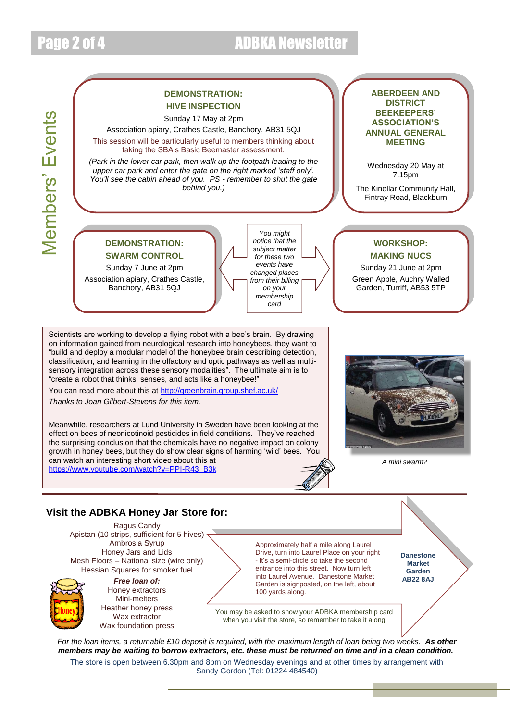## Page 2 of 4 ADBKA Newsletter

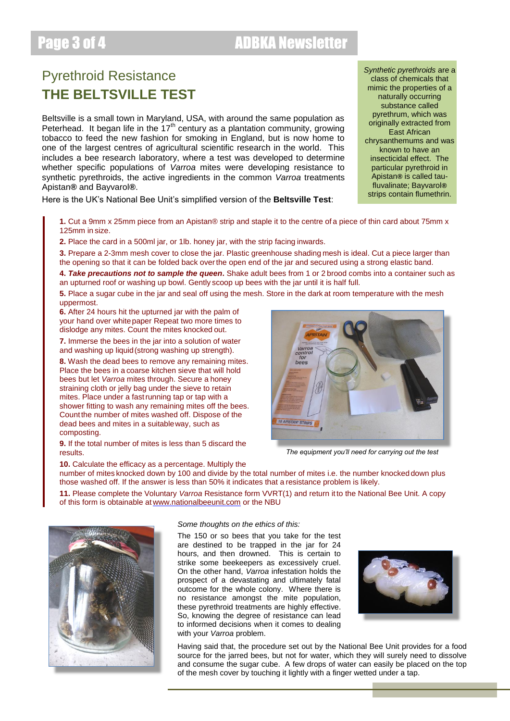## Page 3 of 4 ADBKA Newsletter

### Pyrethroid Resistance **THE BELTSVILLE TEST**

Beltsville is a small town in Maryland, USA, with around the same population as Peterhead. It began life in the  $17<sup>th</sup>$  century as a plantation community, growing tobacco to feed the new fashion for smoking in England, but is now home to one of the largest centres of agricultural scientific research in the world. This includes a bee research laboratory, where a test was developed to determine whether specific populations of *Varroa* mites were developing resistance to synthetic pyrethroids, the active ingredients in the common *Varroa* treatments Apistan*®* and Bayvarol*®*.

Here is the UK's National Bee Unit's simplified version of the **Beltsville Test**:

*Synthetic pyrethroids* are a class of chemicals that mimic the properties of a naturally occurring substance called pyrethrum, which was originally extracted from East African chrysanthemums and was known to have an insecticidal effect. The particular pyrethroid in Apistan*®* is called taufluvalinate; Bayvarol*®* strips contain flumethrin.

**1.** Cut a 9mm x 25mm piece from an Apistan® strip and staple it to the centre of a piece of thin card about 75mm x 125mm in size.

**2.** Place the card in a 500ml jar, or 1lb. honey jar, with the strip facing inwards.

**3.** Prepare a 2-3mm mesh cover to close the jar. Plastic greenhouse shading mesh is ideal. Cut a piece larger than the opening so that it can be folded back overthe open end of the jar and secured using a strong elastic band.

**4.** *Take precautions not to sample the queen***.** Shake adult bees from 1 or 2 brood combs into a container such as an upturned roof or washing up bowl. Gently scoop up bees with the jar until it is half full.

**5.** Place a sugar cube in the jar and seal off using the mesh. Store in the dark at room temperature with the mesh uppermost.

**6.** After 24 hours hit the upturned jar with the palm of your hand over whitepaper Repeat two more times to dislodge any mites. Count the mites knocked out.

**7.** Immerse the bees in the jar into a solution of water and washing up liquid(strong washing up strength).

**8.** Wash the dead bees to remove any remaining mites. Place the bees in a coarse kitchen sieve that will hold bees but let *Varroa* mites through. Secure a honey straining cloth or jelly bag under the sieve to retain mites. Place under a fastrunning tap or tap with a shower fitting to wash any remaining mites off the bees. Countthe number of mites washed off. Dispose of the dead bees and mites in a suitableway, such as composting.

**9.** If the total number of mites is less than 5 discard the results.



*The equipment you'll need for carrying out the test*

**10.** Calculate the efficacy as a percentage. Multiply the number of mites knocked down by 100 and divide by the total number of mites i.e. the number knockeddown plus those washed off. If the answer is less than 50% it indicates that a resistance problem is likely.

**11.** Please complete the Voluntary *Varroa* Resistance form VVRT(1) and return itto the National Bee Unit. A copy of this form is obtainable at [www.nationalbeeunit.com](http://www.nationalbeeunit.com/) or the NBU



### *Some thoughts on the ethics of this:*

The 150 or so bees that you take for the test are destined to be trapped in the jar for 24 hours, and then drowned. This is certain to strike some beekeepers as excessively cruel. On the other hand, *Varroa* infestation holds the prospect of a devastating and ultimately fatal outcome for the whole colony. Where there is no resistance amongst the mite population, these pyrethroid treatments are highly effective. So, knowing the degree of resistance can lead to informed decisions when it comes to dealing with your *Varroa* problem.



Having said that, the procedure set out by the National Bee Unit provides for a food source for the jarred bees, but not for water, which they will surely need to dissolve and consume the sugar cube. A few drops of water can easily be placed on the top of the mesh cover by touching it lightly with a finger wetted under a tap.